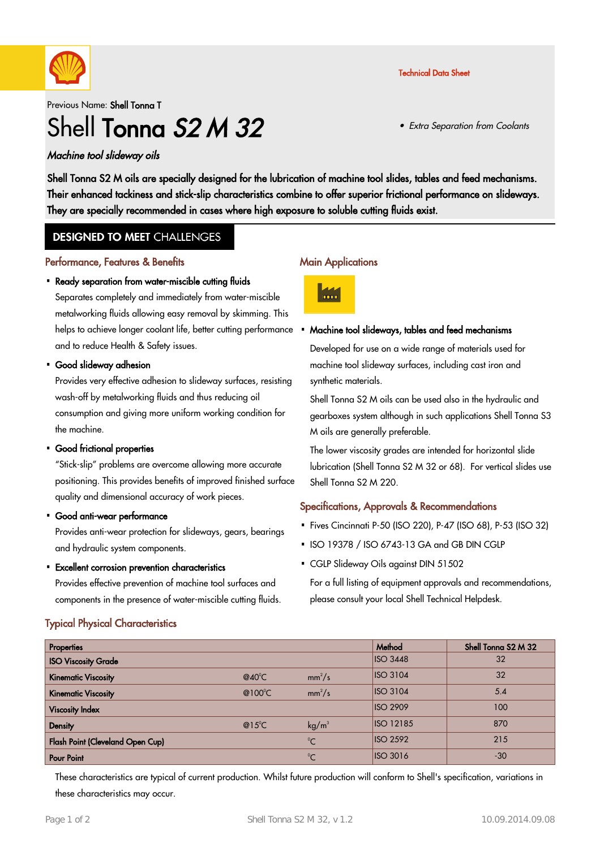

Previous Name: Shell Tonna T

# Shell Tonna S<sub>2</sub> M 32

## Machine tool slideway oils

Shell Tonna S2 M oils are specially designed for the lubrication of machine tool slides, tables and feed mechanisms. Their enhanced tackiness and stick-slip characteristics combine to offer superior frictional performance on slideways. They are specially recommended in cases where high exposure to soluble cutting fluids exist.

## **DESIGNED TO MEET CHALLENGES**

#### Performance, Features & Benefits

#### • Ready separation from water-miscible cutting fluids

Separates completely and immediately from water-miscible metalworking fluids allowing easy removal by skimming. This helps to achieve longer coolant life, better cutting performance. and to reduce Health & Safety issues.

Good slideway adhesion ·

Provides very effective adhesion to slideway surfaces, resisting wash-off by metalworking fluids and thus reducing oil consumption and giving more uniform working condition for the machine.

• Good frictional properties

"Stick-slip" problems are overcome allowing more accurate positioning. This provides benefits of improved finished surface quality and dimensional accuracy of work pieces.

Good anti-wear performance ·

Provides anti-wear protection for slideways, gears, bearings and hydraulic system components.

Excellent corrosion prevention characteristics ·

Provides effective prevention of machine tool surfaces and components in the presence of water-miscible cutting fluids.

# Typical Physical Characteristics

#### **Main Applications**



#### Machine tool slideways, tables and feed mechanisms ·

Developed for use on a wide range of materials used for machine tool slideway surfaces, including cast iron and synthetic materials.

Shell Tonna S2 M oils can be used also in the hydraulic and gearboxes system although in such applications Shell Tonna S3 M oils are generally preferable.

The lower viscosity grades are intended for horizontal slide lubrication (Shell Tonna S2 M 32 or 68). For vertical slides use Shell Tonna S2 M 220.

## Specifications, Approvals & Recommendations

- Fives Cincinnati P-50 (ISO 220), P-47 (ISO 68), P-53 (ISO 32) ·
- ISO 19378 / ISO 6743-13 GA and GB DIN CGLP
- CGLP Slideway Oils against DIN 51502

For a full listing of equipment approvals and recommendations, please consult your local Shell Technical Helpdesk.

| Properties                       |                   |                   | Method           | Shell Tonna S2 M 32 |
|----------------------------------|-------------------|-------------------|------------------|---------------------|
| <b>ISO Viscosity Grade</b>       |                   |                   | <b>ISO 3448</b>  | 32                  |
| <b>Kinematic Viscosity</b>       | $@40^{\circ}$ C   | $mm^2/s$          | <b>ISO 3104</b>  | 32                  |
| <b>Kinematic Viscosity</b>       | @100 $^{\circ}$ C | $mm^2/s$          | <b>ISO 3104</b>  | 5.4                 |
| <b>Viscosity Index</b>           |                   |                   | <b>ISO 2909</b>  | 100                 |
| <b>Density</b>                   | $@15^{\circ}$ C   | kg/m <sup>3</sup> | <b>ISO 12185</b> | 870                 |
| Flash Point (Cleveland Open Cup) |                   | $\rm ^{0}C$       | <b>ISO 2592</b>  | 215                 |
| <b>Pour Point</b>                |                   | $\rm ^{0}C$       | <b>ISO 3016</b>  | $-30$               |

These characteristics are typical of current production. Whilst future production will conform to Shell's specification, variations in these characteristics may occur.

Technical Data Sheet

• Extra Separation from Coolants